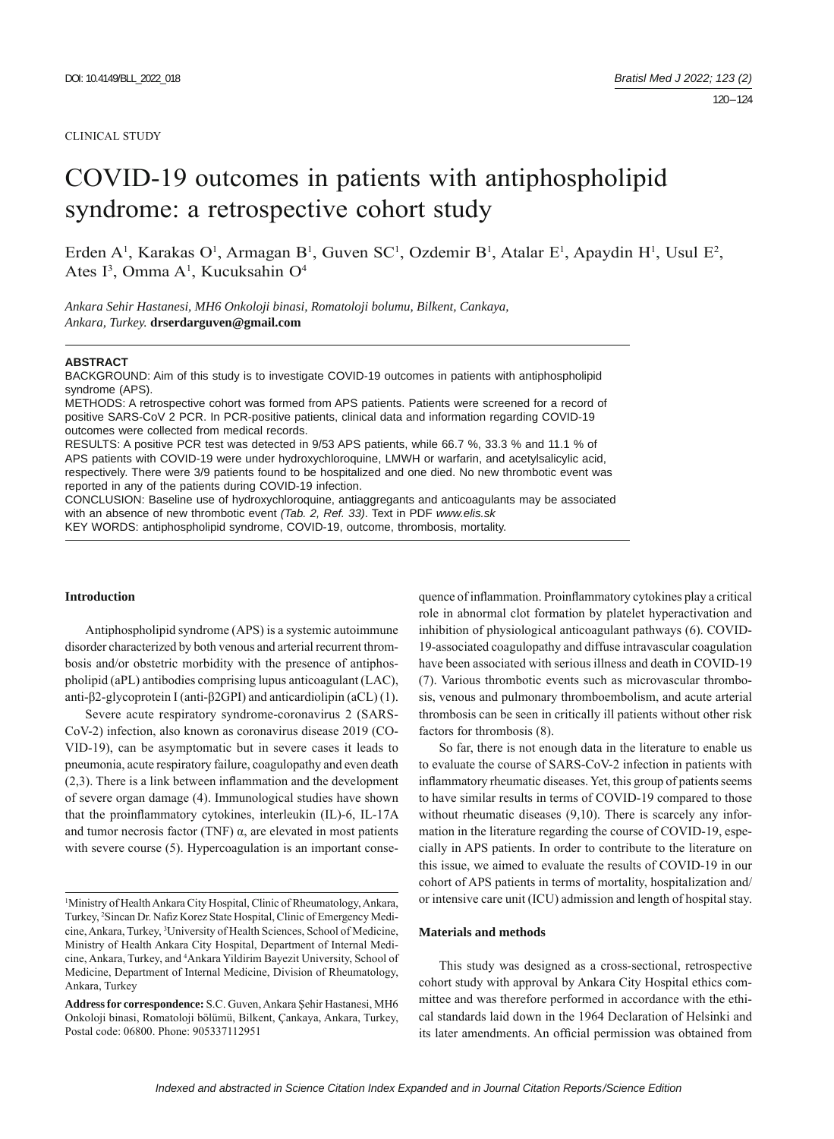#### CLINICAL STUDY

# COVID-19 outcomes in patients with antiphospholipid syndrome: a retrospective cohort study

Erden A<sup>1</sup>, Karakas O<sup>1</sup>, Armagan B<sup>1</sup>, Guven SC<sup>1</sup>, Ozdemir B<sup>1</sup>, Atalar E<sup>1</sup>, Apaydin H<sup>1</sup>, Usul E<sup>2</sup>, Ates I<sup>3</sup>, Omma A<sup>1</sup>, Kucuksahin O<sup>4</sup>

*Ankara Sehir Hastanesi, MH6 Onkoloji binasi, Romatoloji bolumu, Bilkent, Cankaya, Ankara, Turkey.* **drserdarguven@gmail.com**

## **ABSTRACT**

BACKGROUND: Aim of this study is to investigate COVID-19 outcomes in patients with antiphospholipid syndrome (APS).

METHODS: A retrospective cohort was formed from APS patients. Patients were screened for a record of positive SARS-CoV 2 PCR. In PCR-positive patients, clinical data and information regarding COVID-19 outcomes were collected from medical records.

RESULTS: A positive PCR test was detected in 9/53 APS patients, while 66.7 %, 33.3 % and 11.1 % of APS patients with COVID-19 were under hydroxychloroquine, LMWH or warfarin, and acetylsalicylic acid, respectively. There were 3/9 patients found to be hospitalized and one died. No new thrombotic event was reported in any of the patients during COVID-19 infection.

CONCLUSION: Baseline use of hydroxychloroquine, antiaggregants and anticoagulants may be associated with an absence of new thrombotic event *(Tab. 2, Ref. 33)*. Text in PDF *www.elis.sk* KEY WORDS: antiphospholipid syndrome, COVID-19, outcome, thrombosis, mortality.

# **Introduction**

Antiphospholipid syndrome (APS) is a systemic autoimmune disorder characterized by both venous and arterial recurrent thrombosis and/or obstetric morbidity with the presence of antiphospholipid (aPL) antibodies comprising lupus anticoagulant (LAC), anti-β2-glycoprotein I (anti-β2GPI) and anticardiolipin (aCL) (1).

Severe acute respiratory syndrome-coronavirus 2 (SARS-CoV-2) infection, also known as coronavirus disease 2019 (CO-VID-19), can be asymptomatic but in severe cases it leads to pneumonia, acute respiratory failure, coagulopathy and even death  $(2,3)$ . There is a link between inflammation and the development of severe organ damage (4). Immunological studies have shown that the proinflammatory cytokines, interleukin (IL)-6, IL-17A and tumor necrosis factor (TNF)  $\alpha$ , are elevated in most patients with severe course (5). Hypercoagulation is an important consequence of inflammation. Proinflammatory cytokines play a critical role in abnormal clot formation by platelet hyperactivation and inhibition of physiological anticoagulant pathways (6). COVID-19-associated coagulopathy and diffuse intravascular coagulation have been associated with serious illness and death in COVID-19 (7). Various thrombotic events such as microvascular thrombosis, venous and pulmonary thromboembolism, and acute arterial thrombosis can be seen in critically ill patients without other risk factors for thrombosis (8).

So far, there is not enough data in the literature to enable us to evaluate the course of SARS-CoV-2 infection in patients with inflammatory rheumatic diseases. Yet, this group of patients seems to have similar results in terms of COVID-19 compared to those without rheumatic diseases  $(9,10)$ . There is scarcely any information in the literature regarding the course of COVID-19, especially in APS patients. In order to contribute to the literature on this issue, we aimed to evaluate the results of COVID-19 in our cohort of APS patients in terms of mortality, hospitalization and/ or intensive care unit (ICU) admission and length of hospital stay.

#### **Materials and methods**

This study was designed as a cross-sectional, retrospective cohort study with approval by Ankara City Hospital ethics committee and was therefore performed in accordance with the ethical standards laid down in the 1964 Declaration of Helsinki and its later amendments. An official permission was obtained from

<sup>1</sup> Ministry of Health Ankara City Hospital, Clinic of Rheumatology, Ankara, Turkey, <sup>2</sup>Sincan Dr. Nafiz Korez State Hospital, Clinic of Emergency Medicine, Ankara, Turkey, 3 University of Health Sciences, School of Medicine, Ministry of Health Ankara City Hospital, Department of Internal Medicine, Ankara, Turkey, and 4 Ankara Yildirim Bayezit University, School of Medicine, Department of Internal Medicine, Division of Rheumatology, Ankara, Turkey

**Address for correspondence:** S.C. Guven, Ankara Şehir Hastanesi, MH6 Onkoloji binasi, Romatoloji bölümü, Bilkent, Çankaya, Ankara, Turkey, Postal code: 06800. Phone: 905337112951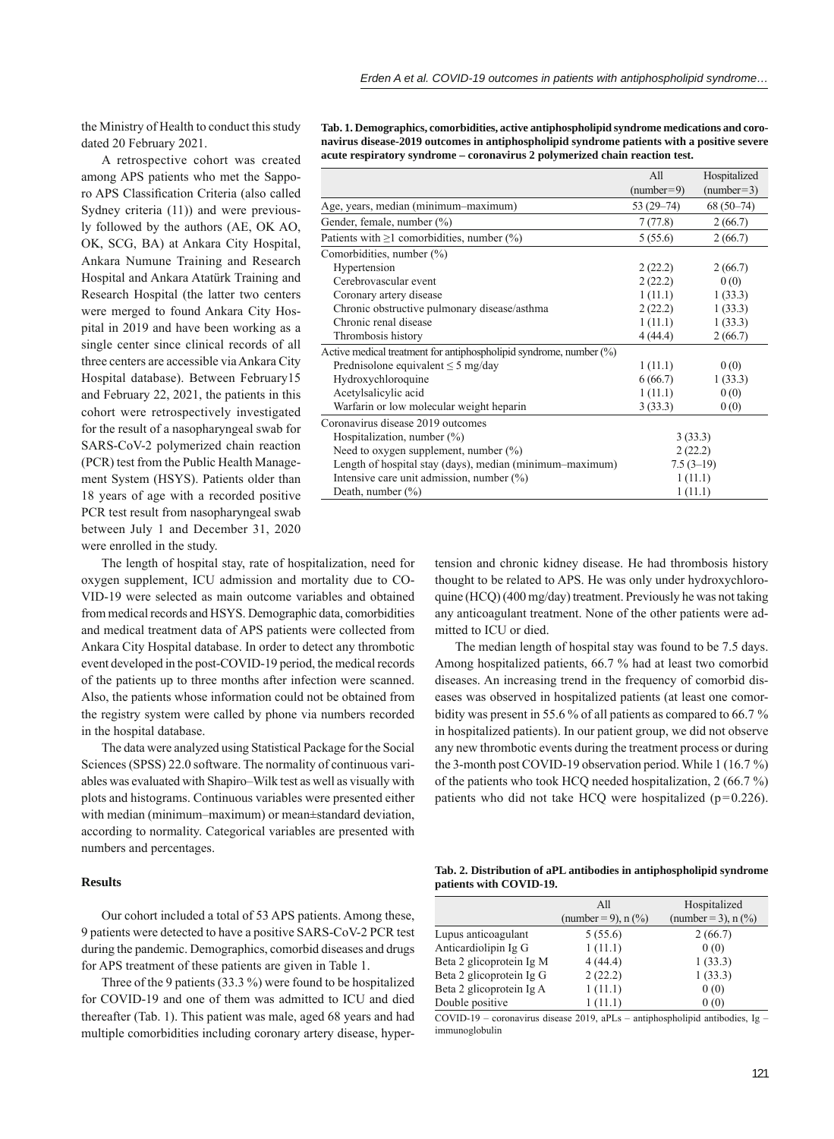the Ministry of Health to conduct this study dated 20 February 2021.

A retrospective cohort was created among APS patients who met the Sapporo APS Classification Criteria (also called Sydney criteria (11)) and were previously followed by the authors (AE, OK AO, OK, SCG, BA) at Ankara City Hospital, Ankara Numune Training and Research Hospital and Ankara Atatürk Training and Research Hospital (the latter two centers were merged to found Ankara City Hospital in 2019 and have been working as a single center since clinical records of all three centers are accessible via Ankara City Hospital database). Between February15 and February 22, 2021, the patients in this cohort were retrospectively investigated for the result of a nasopharyngeal swab for SARS-CoV-2 polymerized chain reaction (PCR) test from the Public Health Management System (HSYS). Patients older than 18 years of age with a recorded positive PCR test result from nasopharyngeal swab between July 1 and December 31, 2020 were enrolled in the study.

The length of hospital stay, rate of hospitalization, need for oxygen supplement, ICU admission and mortality due to CO-VID-19 were selected as main outcome variables and obtained from medical records and HSYS. Demographic data, comorbidities and medical treatment data of APS patients were collected from Ankara City Hospital database. In order to detect any thrombotic event developed in the post-COVID-19 period, the medical records of the patients up to three months after infection were scanned. Also, the patients whose information could not be obtained from the registry system were called by phone via numbers recorded in the hospital database.

The data were analyzed using Statistical Package for the Social Sciences (SPSS) 22.0 software. The normality of continuous variables was evaluated with Shapiro–Wilk test as well as visually with plots and histograms. Continuous variables were presented either with median (minimum–maximum) or mean±standard deviation, according to normality. Categorical variables are presented with numbers and percentages.

# **Results**

Our cohort included a total of 53 APS patients. Among these, 9 patients were detected to have a positive SARS-CoV-2 PCR test during the pandemic. Demographics, comorbid diseases and drugs for APS treatment of these patients are given in Table 1.

Three of the 9 patients (33.3 %) were found to be hospitalized for COVID-19 and one of them was admitted to ICU and died thereafter (Tab. 1). This patient was male, aged 68 years and had multiple comorbidities including coronary artery disease, hyper-

**Tab. 1. Demographics, comorbidities, active antiphospholipid syndrome medications and coronavirus disease-2019 outcomes in antiphospholipid syndrome patients with a positive severe acute respiratory syndrome – coronavirus 2 polymerized chain reaction test.**

|                                                                       | All           | Hospitalized |
|-----------------------------------------------------------------------|---------------|--------------|
|                                                                       | $(number=9)$  | $(number=3)$ |
| Age, years, median (minimum-maximum)                                  | $53(29 - 74)$ | $68(50-74)$  |
| Gender, female, number (%)                                            | 7(77.8)       | 2(66.7)      |
| Patients with $\geq 1$ comorbidities, number (%)                      | 5(55.6)       | 2(66.7)      |
| Comorbidities, number (%)                                             |               |              |
| Hypertension                                                          | 2(22.2)       | 2(66.7)      |
| Cerebrovascular event                                                 | 2(22.2)       | 0(0)         |
| Coronary artery disease                                               | 1(11.1)       | 1(33.3)      |
| Chronic obstructive pulmonary disease/asthma                          | 2(22.2)       | 1(33.3)      |
| Chronic renal disease                                                 | 1(11.1)       | 1(33.3)      |
| Thrombosis history                                                    | 4(44.4)       | 2(66.7)      |
| Active medical treatment for antiphospholipid syndrome, number $(\%)$ |               |              |
| Prednisolone equivalent $\leq$ 5 mg/day                               | 1(11.1)       | 0(0)         |
| Hydroxychloroquine                                                    | 6(66.7)       | 1(33.3)      |
| Acetylsalicylic acid                                                  | 1(11.1)       | 0(0)         |
| Warfarin or low molecular weight heparin                              | 3(33.3)       | 0(0)         |
| Coronavirus disease 2019 outcomes                                     |               |              |
| Hospitalization, number $(\%)$                                        | 3(33.3)       |              |
| Need to oxygen supplement, number $(\%)$                              | 2(22.2)       |              |
| Length of hospital stay (days), median (minimum-maximum)              | $7.5(3-19)$   |              |
| Intensive care unit admission, number $(\%)$                          | 1(11.1)       |              |
| Death, number $(\%)$                                                  | 1(11.1)       |              |

tension and chronic kidney disease. He had thrombosis history thought to be related to APS. He was only under hydroxychloroquine (HCQ) (400 mg/day) treatment. Previously he was not taking any anticoagulant treatment. None of the other patients were admitted to ICU or died.

The median length of hospital stay was found to be 7.5 days. Among hospitalized patients, 66.7 % had at least two comorbid diseases. An increasing trend in the frequency of comorbid diseases was observed in hospitalized patients (at least one comorbidity was present in 55.6 % of all patients as compared to 66.7 % in hospitalized patients). In our patient group, we did not observe any new thrombotic events during the treatment process or during the 3-month post COVID-19 observation period. While 1 (16.7 %) of the patients who took HCQ needed hospitalization, 2 (66.7 %) patients who did not take HCQ were hospitalized (p=0.226).

|                         | Tab. 2. Distribution of aPL antibodies in antiphospholipid syndrome |  |
|-------------------------|---------------------------------------------------------------------|--|
| patients with COVID-19. |                                                                     |  |

|                          | All                   | Hospitalized          |
|--------------------------|-----------------------|-----------------------|
|                          | (number = 9), $n$ (%) | (number = 3), $n$ (%) |
| Lupus anticoagulant      | 5(55.6)               | 2(66.7)               |
| Anticardiolipin Ig G     | 1(11.1)               | 0(0)                  |
| Beta 2 glicoprotein Ig M | 4(44.4)               | 1(33.3)               |
| Beta 2 glicoprotein Ig G | 2(22.2)               | 1(33.3)               |
| Beta 2 glicoprotein Ig A | 1(11.1)               | 0(0)                  |
| Double positive          | 1(11.1)               | 0(0)                  |

COVID-19 – coronavirus disease 2019, aPLs – antiphospholipid antibodies, Ig – immunoglobulin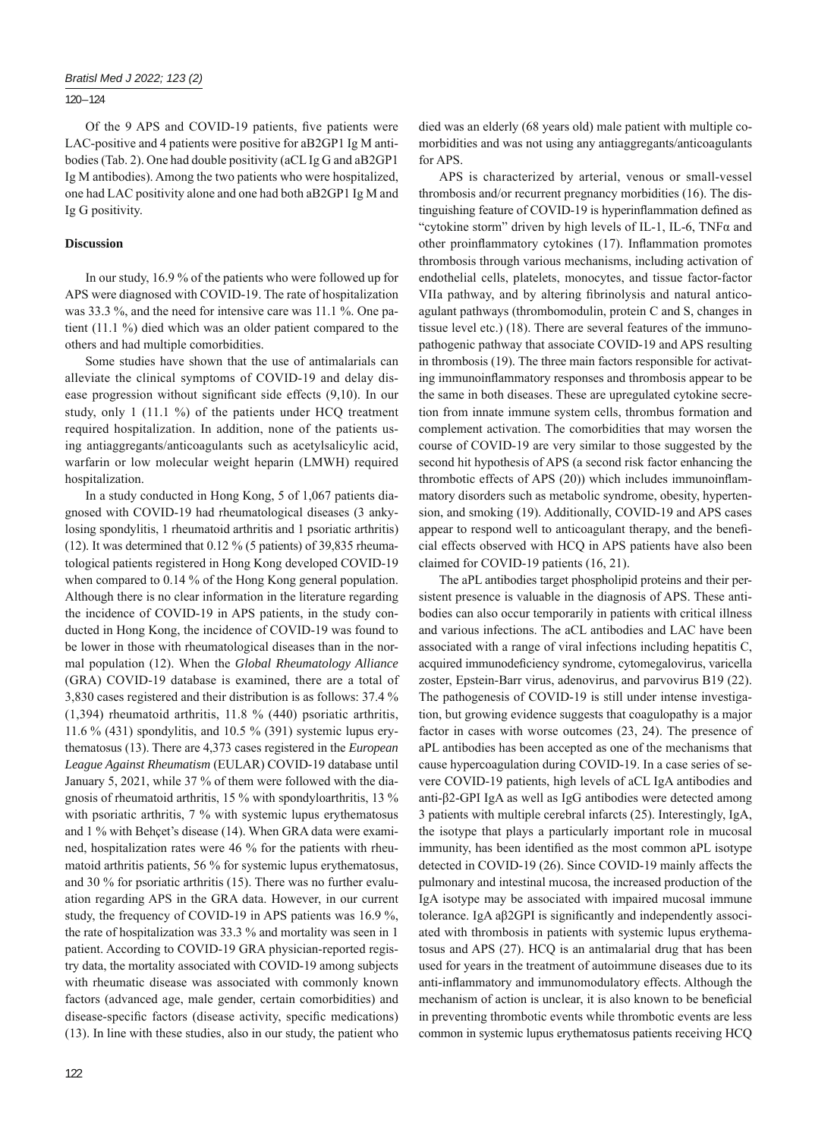# 120 – 124

Of the 9 APS and COVID-19 patients, five patients were LAC-positive and 4 patients were positive for aB2GP1 Ig M antibodies (Tab. 2). One had double positivity (aCL Ig G and aB2GP1 Ig M antibodies). Among the two patients who were hospitalized, one had LAC positivity alone and one had both aB2GP1 Ig M and Ig G positivity.

## **Discussion**

In our study, 16.9 % of the patients who were followed up for APS were diagnosed with COVID-19. The rate of hospitalization was 33.3 %, and the need for intensive care was 11.1 %. One patient (11.1 %) died which was an older patient compared to the others and had multiple comorbidities.

Some studies have shown that the use of antimalarials can alleviate the clinical symptoms of COVID-19 and delay disease progression without significant side effects  $(9,10)$ . In our study, only 1 (11.1 %) of the patients under HCQ treatment required hospitalization. In addition, none of the patients using antiaggregants/anticoagulants such as acetylsalicylic acid, warfarin or low molecular weight heparin (LMWH) required hospitalization.

In a study conducted in Hong Kong, 5 of 1,067 patients diagnosed with COVID-19 had rheumatological diseases (3 ankylosing spondylitis, 1 rheumatoid arthritis and 1 psoriatic arthritis) (12). It was determined that  $0.12\%$  (5 patients) of 39,835 rheumatological patients registered in Hong Kong developed COVID-19 when compared to  $0.14\%$  of the Hong Kong general population. Although there is no clear information in the literature regarding the incidence of COVID-19 in APS patients, in the study conducted in Hong Kong, the incidence of COVID-19 was found to be lower in those with rheumatological diseases than in the normal population (12). When the *Global Rheumatology Alliance* (GRA) COVID-19 database is examined, there are a total of 3,830 cases registered and their distribution is as follows: 37.4 % (1,394) rheumatoid arthritis, 11.8 % (440) psoriatic arthritis, 11.6 % (431) spondylitis, and 10.5 % (391) systemic lupus erythematosus (13). There are 4,373 cases registered in the *European League Against Rheumatism* (EULAR) COVID-19 database until January 5, 2021, while 37 % of them were followed with the diagnosis of rheumatoid arthritis, 15 % with spondyloarthritis, 13 % with psoriatic arthritis, 7 % with systemic lupus erythematosus and 1 % with Behçet's disease (14). When GRA data were examined, hospitalization rates were 46 % for the patients with rheumatoid arthritis patients, 56 % for systemic lupus erythematosus, and 30 % for psoriatic arthritis (15). There was no further evaluation regarding APS in the GRA data. However, in our current study, the frequency of COVID-19 in APS patients was 16.9 %, the rate of hospitalization was 33.3 % and mortality was seen in 1 patient. According to COVID-19 GRA physician-reported registry data, the mortality associated with COVID-19 among subjects with rheumatic disease was associated with commonly known factors (advanced age, male gender, certain comorbidities) and disease-specific factors (disease activity, specific medications) (13). In line with these studies, also in our study, the patient who

died was an elderly (68 years old) male patient with multiple comorbidities and was not using any antiaggregants/anticoagulants for APS.

APS is characterized by arterial, venous or small-vessel thrombosis and/or recurrent pregnancy morbidities (16). The distinguishing feature of COVID-19 is hyperinflammation defined as "cytokine storm" driven by high levels of IL-1, IL-6,  $TNF\alpha$  and other proinflammatory cytokines (17). Inflammation promotes thrombosis through various mechanisms, including activation of endothelial cells, platelets, monocytes, and tissue factor-factor VIIa pathway, and by altering fibrinolysis and natural anticoagulant pathways (thrombomodulin, protein C and S, changes in tissue level etc.) (18). There are several features of the immunopathogenic pathway that associate COVID-19 and APS resulting in thrombosis (19). The three main factors responsible for activating immunoinflammatory responses and thrombosis appear to be the same in both diseases. These are upregulated cytokine secretion from innate immune system cells, thrombus formation and complement activation. The comorbidities that may worsen the course of COVID-19 are very similar to those suggested by the second hit hypothesis of APS (a second risk factor enhancing the thrombotic effects of APS (20)) which includes immunoinflammatory disorders such as metabolic syndrome, obesity, hypertension, and smoking (19). Additionally, COVID-19 and APS cases appear to respond well to anticoagulant therapy, and the beneficial effects observed with HCQ in APS patients have also been claimed for COVID-19 patients (16, 21).

The aPL antibodies target phospholipid proteins and their persistent presence is valuable in the diagnosis of APS. These antibodies can also occur temporarily in patients with critical illness and various infections. The aCL antibodies and LAC have been associated with a range of viral infections including hepatitis C, acquired immunodeficiency syndrome, cytomegalovirus, varicella zoster, Epstein-Barr virus, adenovirus, and parvovirus B19 (22). The pathogenesis of COVID-19 is still under intense investigation, but growing evidence suggests that coagulopathy is a major factor in cases with worse outcomes (23, 24). The presence of aPL antibodies has been accepted as one of the mechanisms that cause hypercoagulation during COVID-19. In a case series of severe COVID-19 patients, high levels of aCL IgA antibodies and anti-β2-GPI IgA as well as IgG antibodies were detected among 3 patients with multiple cerebral infarcts (25). Interestingly, IgA, the isotype that plays a particularly important role in mucosal immunity, has been identified as the most common aPL isotype detected in COVID-19 (26). Since COVID-19 mainly affects the pulmonary and intestinal mucosa, the increased production of the IgA isotype may be associated with impaired mucosal immune tolerance. IgA a $\beta$ 2GPI is significantly and independently associated with thrombosis in patients with systemic lupus erythematosus and APS (27). HCQ is an antimalarial drug that has been used for years in the treatment of autoimmune diseases due to its anti-inflammatory and immunomodulatory effects. Although the mechanism of action is unclear, it is also known to be beneficial in preventing thrombotic events while thrombotic events are less common in systemic lupus erythematosus patients receiving HCQ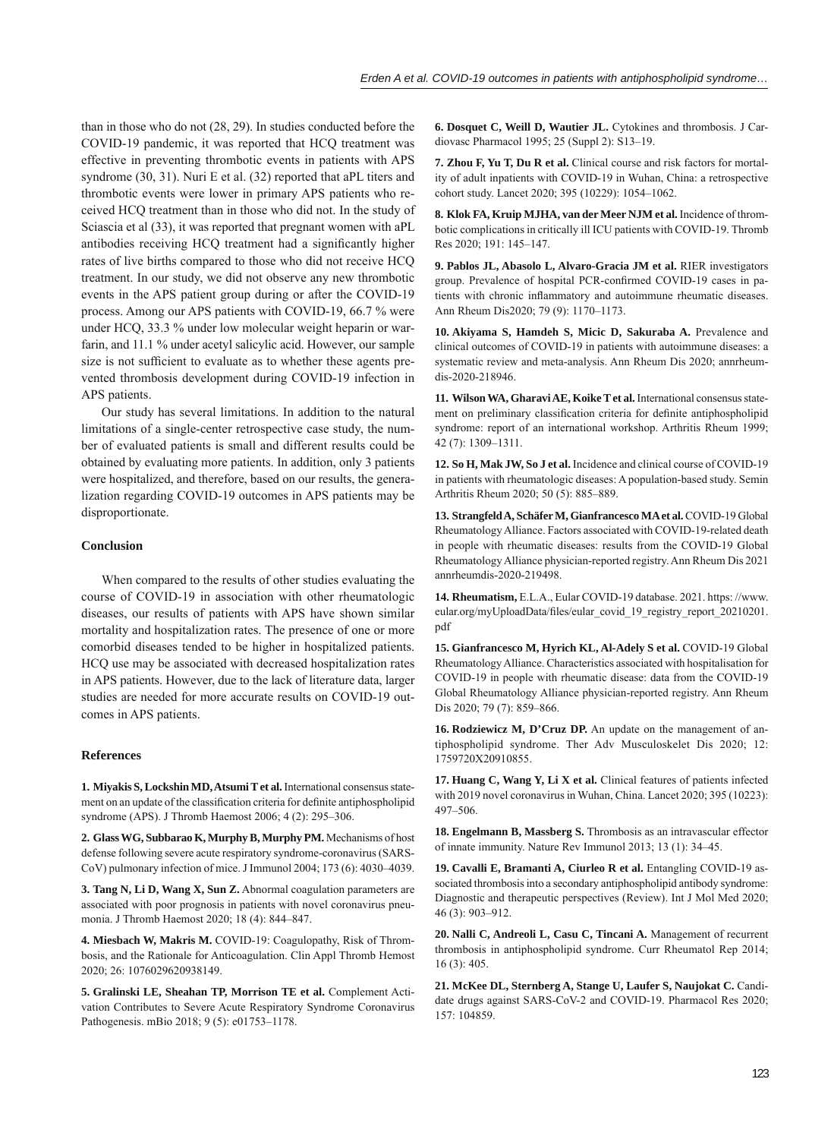than in those who do not (28, 29). In studies conducted before the COVID-19 pandemic, it was reported that HCQ treatment was effective in preventing thrombotic events in patients with APS syndrome (30, 31). Nuri E et al. (32) reported that aPL titers and thrombotic events were lower in primary APS patients who received HCQ treatment than in those who did not. In the study of Sciascia et al (33), it was reported that pregnant women with aPL antibodies receiving HCQ treatment had a significantly higher rates of live births compared to those who did not receive HCQ treatment. In our study, we did not observe any new thrombotic events in the APS patient group during or after the COVID-19 process. Among our APS patients with COVID-19, 66.7 % were under HCQ, 33.3 % under low molecular weight heparin or warfarin, and 11.1 % under acetyl salicylic acid. However, our sample size is not sufficient to evaluate as to whether these agents prevented thrombosis development during COVID-19 infection in APS patients.

Our study has several limitations. In addition to the natural limitations of a single-center retrospective case study, the number of evaluated patients is small and different results could be obtained by evaluating more patients. In addition, only 3 patients were hospitalized, and therefore, based on our results, the generalization regarding COVID-19 outcomes in APS patients may be disproportionate.

## **Conclusion**

When compared to the results of other studies evaluating the course of COVID-19 in association with other rheumatologic diseases, our results of patients with APS have shown similar mortality and hospitalization rates. The presence of one or more comorbid diseases tended to be higher in hospitalized patients. HCQ use may be associated with decreased hospitalization rates in APS patients. However, due to the lack of literature data, larger studies are needed for more accurate results on COVID-19 outcomes in APS patients.

#### **References**

1. Miyakis S, Lockshin MD, Atsumi T et al. International consensus statement on an update of the classification criteria for definite antiphospholipid syndrome (APS). J Thromb Haemost 2006; 4 (2): 295–306.

**2. Glass WG, Subbarao K, Murphy B, Murphy PM.** Mechanisms of host defense following severe acute respiratory syndrome-coronavirus (SARS-CoV) pulmonary infection of mice. J Immunol 2004; 173 (6): 4030–4039.

**3. Tang N, Li D, Wang X, Sun Z.** Abnormal coagulation parameters are associated with poor prognosis in patients with novel coronavirus pneumonia. J Thromb Haemost 2020; 18 (4): 844–847.

**4. Miesbach W, Makris M.** COVID-19: Coagulopathy, Risk of Thrombosis, and the Rationale for Anticoagulation. Clin Appl Thromb Hemost 2020; 26: 1076029620938149.

**5. Gralinski LE, Sheahan TP, Morrison TE et al.** Complement Activation Contributes to Severe Acute Respiratory Syndrome Coronavirus Pathogenesis. mBio 2018; 9 (5): e01753–1178.

**6. Dosquet C, Weill D, Wautier JL.** Cytokines and thrombosis. J Cardiovasc Pharmacol 1995; 25 (Suppl 2): S13–19.

**7. Zhou F, Yu T, Du R et al.** Clinical course and risk factors for mortality of adult inpatients with COVID-19 in Wuhan, China: a retrospective cohort study. Lancet 2020; 395 (10229): 1054–1062.

**8. Klok FA, Kruip MJHA, van der Meer NJM et al.** Incidence of thrombotic complications in critically ill ICU patients with COVID-19. Thromb Res 2020; 191: 145–147.

**9. Pablos JL, Abasolo L, Alvaro-Gracia JM et al.** RIER investigators group. Prevalence of hospital PCR-confirmed COVID-19 cases in patients with chronic inflammatory and autoimmune rheumatic diseases. Ann Rheum Dis2020; 79 (9): 1170–1173.

**10. Akiyama S, Hamdeh S, Micic D, Sakuraba A.** Prevalence and clinical outcomes of COVID-19 in patients with autoimmune diseases: a systematic review and meta-analysis. Ann Rheum Dis 2020; annrheumdis-2020-218946.

**11. Wilson WA, Gharavi AE, Koike T et al.** International consensus statement on preliminary classification criteria for definite antiphospholipid syndrome: report of an international workshop. Arthritis Rheum 1999; 42 (7): 1309–1311.

**12. So H, Mak JW, So J et al.** Incidence and clinical course of COVID-19 in patients with rheumatologic diseases: A population-based study. Semin Arthritis Rheum 2020; 50 (5): 885–889.

**13. Strangfeld A, Schäfer M, Gianfrancesco MA et al.** COVID-19 Global Rheumatology Alliance. Factors associated with COVID-19-related death in people with rheumatic diseases: results from the COVID-19 Global Rheumatology Alliance physician-reported registry. Ann Rheum Dis 2021 annrheumdis-2020-219498.

**14. Rheumatism,** E.L.A., Eular COVID-19 database. 2021. https: //www. eular.org/myUploadData/files/eular\_covid\_19\_registry\_report\_20210201. pdf

**15. Gianfrancesco M, Hyrich KL, Al-Adely S et al.** COVID-19 Global Rheumatology Alliance. Characteristics associated with hospitalisation for COVID-19 in people with rheumatic disease: data from the COVID-19 Global Rheumatology Alliance physician-reported registry. Ann Rheum Dis 2020; 79 (7): 859–866.

**16. Rodziewicz M, D'Cruz DP.** An update on the management of antiphospholipid syndrome. Ther Adv Musculoskelet Dis 2020; 12: 1759720X20910855.

**17. Huang C, Wang Y, Li X et al.** Clinical features of patients infected with 2019 novel coronavirus in Wuhan, China. Lancet 2020; 395 (10223): 497–506.

**18. Engelmann B, Massberg S.** Thrombosis as an intravascular effector of innate immunity. Nature Rev Immunol 2013; 13 (1): 34–45.

**19. Cavalli E, Bramanti A, Ciurleo R et al.** Entangling COVID-19 associated thrombosis into a secondary antiphospholipid antibody syndrome: Diagnostic and therapeutic perspectives (Review). Int J Mol Med 2020; 46 (3): 903–912.

**20. Nalli C, Andreoli L, Casu C, Tincani A.** Management of recurrent thrombosis in antiphospholipid syndrome. Curr Rheumatol Rep 2014; 16 (3): 405.

**21. McKee DL, Sternberg A, Stange U, Laufer S, Naujokat C.** Candidate drugs against SARS-CoV-2 and COVID-19. Pharmacol Res 2020; 157: 104859.